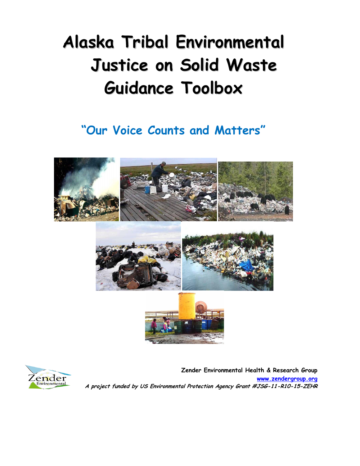# **Alaska Tribal Environmental Justice on Solid Waste Guidance Toolbox**

## **"Our Voice Counts and Matters"**





 **Zender Environmental Health & Research Group [www.zendergroup.org](http://www.zendergroup.org/) A project funded by US Environmental Protection Agency Grant #JSG-11-R10-15-ZEHR**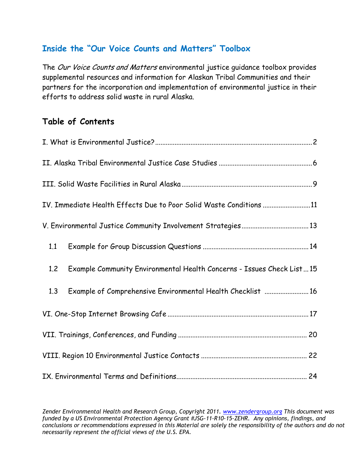## **Inside the "Our Voice Counts and Matters" Toolbox**

The Our Voice Counts and Matters environmental justice guidance toolbox provides supplemental resources and information for Alaskan Tribal Communities and their partners for the incorporation and implementation of environmental justice in their efforts to address solid waste in rural Alaska.

## **Table of Contents**

| IV. Immediate Health Effects Due to Poor Solid Waste Conditions 11           |  |  |
|------------------------------------------------------------------------------|--|--|
|                                                                              |  |  |
| 1.1                                                                          |  |  |
| Example Community Environmental Health Concerns - Issues Check List15<br>1.2 |  |  |
| Example of Comprehensive Environmental Health Checklist  16<br>1.3           |  |  |
|                                                                              |  |  |
|                                                                              |  |  |
|                                                                              |  |  |
|                                                                              |  |  |

*Zender Environmental Health and Research Group, Copyright 2011. www.zendergroup.org This document was funded by a US Environmental Protection Agency Grant #JSG-11-R10-15-ZEHR. Any opinions, findings, and conclusions or recommendations expressed in this Material are solely the responsibility of the authors and do not necessarily represent the official views of the U.S. EPA.*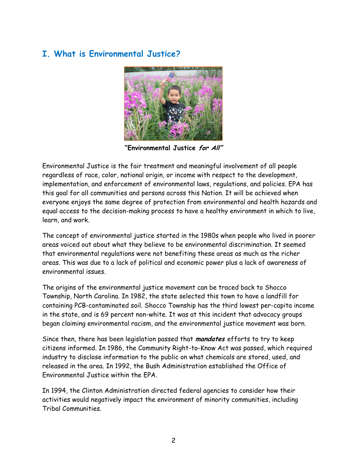## **I. What is Environmental Justice?**



**"Environmental Justice for All"**

Environmental Justice is the fair treatment and meaningful involvement of all people regardless of race, color, national origin, or income with respect to the development, implementation, and enforcement of environmental laws, regulations, and policies. EPA has this goal for all communities and persons across this Nation. It will be achieved when everyone enjoys the same degree of protection from environmental and health hazards and equal access to the decision-making process to have a healthy environment in which to live, learn, and work.

The concept of environmental justice started in the 1980s when people who lived in poorer areas voiced out about what they believe to be environmental discrimination. It seemed that environmental regulations were not benefiting these areas as much as the richer areas. This was due to a lack of political and economic power plus a lack of awareness of environmental issues.

The origins of the environmental justice movement can be traced back to Shocco Township, North Carolina. In 1982, the state selected this town to have a landfill for containing PCB-contaminated soil. Shocco Township has the third lowest per-capita income in the state, and is 69 percent non-white. It was at this incident that advocacy groups began claiming environmental racism, and the environmental justice movement was born.

Since then, there has been legislation passed that **mandates** efforts to try to keep citizens informed. In 1986, the Community Right-to-Know Act was passed, which required industry to disclose information to the public on what chemicals are stored, used, and released in the area. In 1992, the Bush Administration established the Office of Environmental Justice within the EPA.

In 1994, the Clinton Administration directed federal agencies to consider how their activities would negatively impact the environment of minority communities, including Tribal Communities.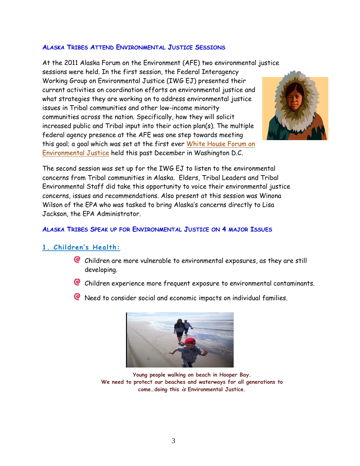#### **ALASKA TRIBES ATTEND ENVIRONMENTAL JUSTICE SESSIONS**

At the 2011 Alaska Forum on the Environment (AFE) two environmental justice sessions were held. In the first session, the Federal Interagency Working Group on Environmental Justice (IWG EJ) presented their current activities on coordination efforts on environmental justice and what strategies they are working on to address environmental justice issues in Tribal communities and other low-income minority communities across the nation. Specifically, how they will solicit increased public and Tribal input into their action plan(s). The multiple federal agency presence at the AFE was one step towards meeting this goal; a goal which was set at the first ever [White House Forum on](http://www.epa.gov/compliance/environmentaljustice/interagency/index.html)  [Environmental Justice](http://www.epa.gov/compliance/environmentaljustice/interagency/index.html) held this past December in Washington D.C.



The second session was set up for the IWG EJ to listen to the environmental concerns from Tribal communities in Alaska. Elders, Tribal Leaders and Tribal Environmental Staff did take this opportunity to voice their environmental justice concerns, issues and recommendations. Also present at this session was Winona Wilson of the EPA who was tasked to bring Alaska's concerns directly to Lisa Jackson, the EPA Administrator.

## **ALASKA TRIBES SPEAK UP FOR ENVIRONMENTAL JUSTICE ON 4 MAJOR ISSUES**

## **1. Children's Health:**

- Children are more vulnerable to environmental exposures, as they are still developing.
- Children experience more frequent exposure to environmental contaminants.
- **C** Need to consider social and economic impacts on individual families.



**Young people walking on beach in Hooper Bay. We need to protect our beaches and waterways for all generations to come…doing this is Environmental Justice.**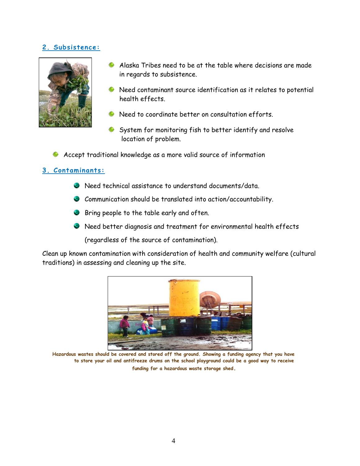## **2. Subsistence:**



- Alaska Tribes need to be at the table where decisions are made in regards to subsistence.
- Need contaminant source identification as it relates to potential health effects.
- Need to coordinate better on consultation efforts.
- System for monitoring fish to better identify and resolve location of problem.
- Accept traditional knowledge as a more valid source of information

## **3. Contaminants:**

- Need technical assistance to understand documents/data.
- Communication should be translated into action/accountability.
- Bring people to the table early and often.
- Need better diagnosis and treatment for environmental health effects

(regardless of the source of contamination).

Clean up known contamination with consideration of health and community welfare (cultural traditions) in assessing and cleaning up the site.



**Hazardous wastes should be covered and stored off the ground. Showing a funding agency that you have to store your oil and antifreeze drums on the school playground could be a good way to receive funding for a hazardous waste storage shed.**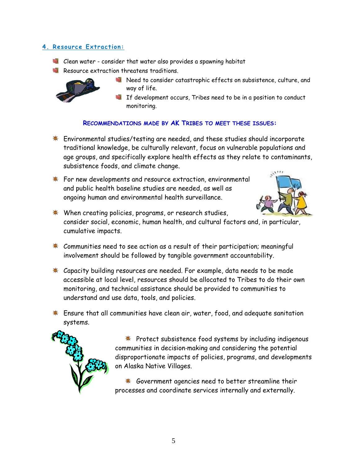## **4. Resource Extraction:**

- Clean water consider that water also provides a spawning habitat
- Resource extraction threatens traditions.



- Need to consider catastrophic effects on subsistence, culture, and way of life.
- If development occurs, Tribes need to be in a position to conduct monitoring.

## **RECOMMENDATIONS MADE BY AK TRIBES TO MEET THESE ISSUES:**

- **\*** Environmental studies/testing are needed, and these studies should incorporate traditional knowledge, be culturally relevant, focus on vulnerable populations and age groups, and specifically explore health effects as they relate to contaminants, subsistence foods, and climate change.
- For new developments and resource extraction, environmental and public health baseline studies are needed, as well as ongoing human and environmental health surveillance.



- **☀ When creating policies, programs, or research studies,** consider social, economic, human health, and cultural factors and, in particular, cumulative impacts.
- $*$  Communities need to see action as a result of their participation; meaningful involvement should be followed by tangible government accountability.
- **\*** Capacity building resources are needed. For example, data needs to be made accessible at local level, resources should be allocated to Tribes to do their own monitoring, and technical assistance should be provided to communities to understand and use data, tools, and policies.
- $*$  Ensure that all communities have clean air, water, food, and adequate sanitation systems.



**\*** Protect subsistence food systems by including indigenous communities in decision‐making and considering the potential disproportionate impacts of policies, programs, and developments on Alaska Native Villages.

**\*** Government agencies need to better streamline their processes and coordinate services internally and externally.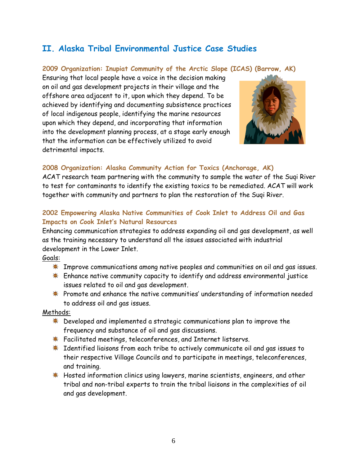## <span id="page-6-0"></span>**II. Alaska Tribal Environmental Justice Case Studies**

## **2009 Organization: Inupiat Community of the Arctic Slope (ICAS) (Barrow, AK)**

Ensuring that local people have a voice in the decision making on oil and gas development projects in their village and the offshore area adjacent to it, upon which they depend. To be achieved by identifying and documenting subsistence practices of local indigenous people, identifying the marine resources upon which they depend, and incorporating that information into the development planning process, at a stage early enough that the information can be effectively utilized to avoid detrimental impacts.



## **2008 Organization: Alaska Community Action for Toxics (Anchorage, AK)**

ACAT research team partnering with the community to sample the water of the Suqi River to test for contaminants to identify the existing toxics to be remediated. ACAT will work together with community and partners to plan the restoration of the Suqi River.

## **2002 Empowering Alaska Native Communities of Cook Inlet to Address Oil and Gas Impacts on Cook Inlet's Natural Resources**

Enhancing communication strategies to address expanding oil and gas development, as well as the training necessary to understand all the issues associated with industrial development in the Lower Inlet.

## Goals:

- $*$  Improve communications among native peoples and communities on oil and gas issues.
- **\*** Enhance native community capacity to identify and address environmental justice issues related to oil and gas development.
- $*$  Promote and enhance the native communities' understanding of information needed to address oil and gas issues.

## Methods:

- $*$  Developed and implemented a strategic communications plan to improve the frequency and substance of oil and gas discussions.
- **\*** Facilitated meetings, teleconferences, and Internet listservs.
- **\*** Identified liaisons from each tribe to actively communicate oil and gas issues to their respective Village Councils and to participate in meetings, teleconferences, and training.
- \* Hosted information clinics using lawyers, marine scientists, engineers, and other tribal and non-tribal experts to train the tribal liaisons in the complexities of oil and gas development.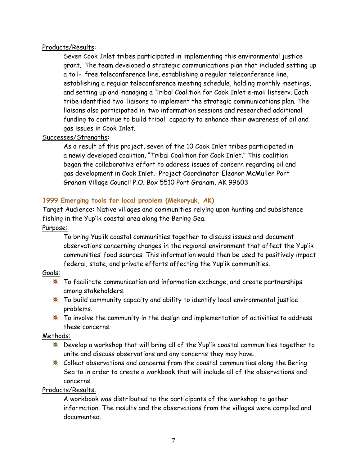#### Products/Results:

Seven Cook Inlet tribes participated in implementing this environmental justice grant. The team developed a strategic communications plan that included setting up a toll- free teleconference line, establishing a regular teleconference line, establishing a regular teleconference meeting schedule, holding monthly meetings, and setting up and managing a Tribal Coalition for Cook Inlet e-mail listserv. Each tribe identified two liaisons to implement the strategic communications plan. The liaisons also participated in two information sessions and researched additional funding to continue to build tribal capacity to enhance their awareness of oil and gas issues in Cook Inlet.

## Successes/Strengths:

As a result of this project, seven of the 10 Cook Inlet tribes participated in a newly developed coalition, "Tribal Coalition for Cook Inlet." This coalition began the collaborative effort to address issues of concern regarding oil and gas development in Cook Inlet. Project Coordinator Eleanor McMullen Port Graham Village Council P.O. Box 5510 Port Graham, AK 99603

## **1999 Emerging tools for local problem (Mekoryuk, AK)**

Target Audience: Native villages and communities relying upon hunting and subsistence fishing in the Yup"ik coastal area along the Bering Sea.

Purpose:

To bring Yup"ik coastal communities together to discuss issues and document observations concerning changes in the regional environment that affect the Yup"ik communities" food sources. This information would then be used to positively impact federal, state, and private efforts affecting the Yup"ik communities.

## Goals:

- **\*** To facilitate communication and information exchange, and create partnerships among stakeholders.
- To build community capacity and ability to identify local environmental justice problems.
- $*$  To involve the community in the design and implementation of activities to address these concerns.

## Methods:

- Develop a workshop that will bring all of the Yup"ik coastal communities together to unite and discuss observations and any concerns they may have.
- \* Collect observations and concerns from the coastal communities along the Bering Sea to in order to create a workbook that will include all of the observations and concerns.

#### Products/Results:

A workbook was distributed to the participants of the workshop to gather information. The results and the observations from the villages were compiled and documented.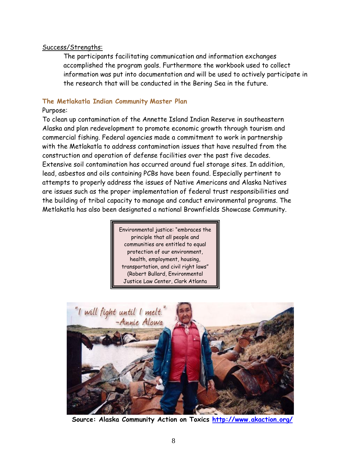#### Success/Strengths:

The participants facilitating communication and information exchanges accomplished the program goals. Furthermore the workbook used to collect information was put into documentation and will be used to actively participate in the research that will be conducted in the Bering Sea in the future.

## **The Metlakatla Indian Community Master Plan**

#### Purpose:

To clean up contamination of the Annette Island Indian Reserve in southeastern Alaska and plan redevelopment to promote economic growth through tourism and commercial fishing. Federal agencies made a commitment to work in partnership with the Metlakatla to address contamination issues that have resulted from the construction and operation of defense facilities over the past five decades. Extensive soil contamination has occurred around fuel storage sites. In addition, lead, asbestos and oils containing PCBs have been found. Especially pertinent to attempts to properly address the issues of Native Americans and Alaska Natives are issues such as the proper implementation of federal trust responsibilities and the building of tribal capacity to manage and conduct environmental programs. The Metlakatla has also been designated a national Brownfields Showcase Community.

> Environmental justice: "embraces the principle that all people and communities are entitled to equal protection of our environment, health, employment, housing, transportation, and civil right laws" (Robert Bullard, Environmental Justice Law Center, Clark Atlanta University, 1997)



**Source: Alaska Community Action on Toxics<http://www.akaction.org/>**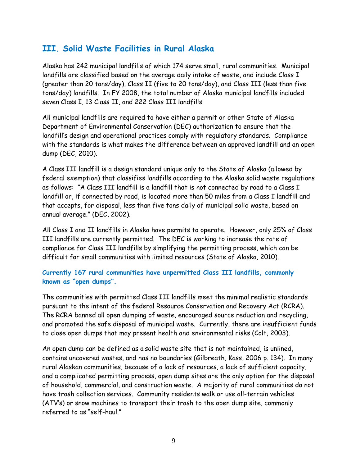## <span id="page-9-0"></span>**III. Solid Waste Facilities in Rural Alaska**

Alaska has 242 municipal landfills of which 174 serve small, rural communities. Municipal landfills are classified based on the average daily intake of waste, and include Class I (greater than 20 tons/day), Class II (five to 20 tons/day), and Class III (less than five tons/day) landfills. In FY 2008, the total number of Alaska municipal landfills included seven Class I, 13 Class II, and 222 Class III landfills.

All municipal landfills are required to have either a permit or other State of Alaska Department of Environmental Conservation (DEC) authorization to ensure that the landfill"s design and operational practices comply with regulatory standards. Compliance with the standards is what makes the difference between an approved landfill and an open dump (DEC, 2010).

A Class III landfill is a design standard unique only to the State of Alaska (allowed by federal exemption) that classifies landfills according to the Alaska solid waste regulations as follows: "A Class III landfill is a landfill that is not connected by road to a Class I landfill or, if connected by road, is located more than 50 miles from a Class I landfill and that accepts, for disposal, less than five tons daily of municipal solid waste, based on annual average." (DEC, 2002).

All Class I and II landfills in Alaska have permits to operate. However, only 25% of Class III landfills are currently permitted. The DEC is working to increase the rate of compliance for Class III landfills by simplifying the permitting process, which can be difficult for small communities with limited resources (State of Alaska, 2010).

## **Currently 167 rural communities have unpermitted Class III landfills, commonly known as "open dumps".**

The communities with permitted Class III landfills meet the minimal realistic standards pursuant to the intent of the federal Resource Conservation and Recovery Act (RCRA). The RCRA banned all open dumping of waste, encouraged source reduction and recycling, and promoted the safe disposal of municipal waste. Currently, there are insufficient funds to close open dumps that may present health and environmental risks (Colt, 2003).

An open dump can be defined as a solid waste site that is not maintained, is unlined, contains uncovered wastes, and has no boundaries (Gilbreath, Kass, 2006 p. 134). In many rural Alaskan communities, because of a lack of resources, a lack of sufficient capacity, and a complicated permitting process, open dump sites are the only option for the disposal of household, commercial, and construction waste. A majority of rural communities do not have trash collection services. Community residents walk or use all-terrain vehicles (ATV"s) or snow machines to transport their trash to the open dump site, commonly referred to as "self-haul."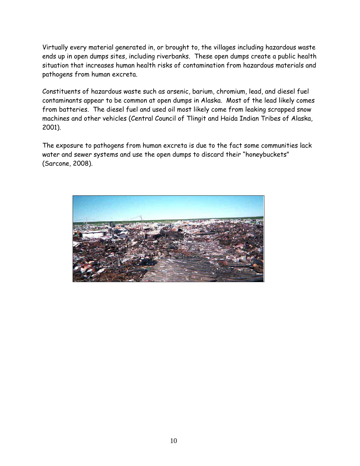Virtually every material generated in, or brought to, the villages including hazardous waste ends up in open dumps sites, including riverbanks. These open dumps create a public health situation that increases human health risks of contamination from hazardous materials and pathogens from human excreta.

Constituents of hazardous waste such as arsenic, barium, chromium, lead, and diesel fuel contaminants appear to be common at open dumps in Alaska. Most of the lead likely comes from batteries. The diesel fuel and used oil most likely come from leaking scrapped snow machines and other vehicles (Central Council of Tlingit and Haida Indian Tribes of Alaska, 2001).

The exposure to pathogens from human excreta is due to the fact some communities lack water and sewer systems and use the open dumps to discard their "honeybuckets" (Sarcone, 2008).

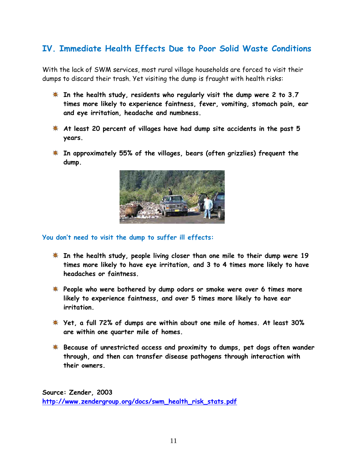## <span id="page-11-0"></span>**IV. Immediate Health Effects Due to Poor Solid Waste Conditions**

With the lack of SWM services, most rural village households are forced to visit their dumps to discard their trash. Yet visiting the dump is fraught with health risks:

- **In the health study, residents who regularly visit the dump were 2 to 3.7 times more likely to experience faintness, fever, vomiting, stomach pain, ear and eye irritation, headache and numbness.**
- **At least 20 percent of villages have had dump site accidents in the past 5 years.**
- **In approximately 55% of the villages, bears (often grizzlies) frequent the dump.**



#### **You don't need to visit the dump to suffer ill effects:**

- **In the health study, people living closer than one mile to their dump were 19 times more likely to have eye irritation, and 3 to 4 times more likely to have headaches or faintness.**
- **People who were bothered by dump odors or smoke were over 6 times more likely to experience faintness, and over 5 times more likely to have ear irritation.**
- **Yet, a full 72% of dumps are within about one mile of homes. At least 30% are within one quarter mile of homes.**
- **Because of unrestricted access and proximity to dumps, pet dogs often wander through, and then can transfer disease pathogens through interaction with their owners.**

**Source: Zender, 2003 [http://www.zendergroup.org/docs/swm\\_health\\_risk\\_stats.pdf](http://www.zendergroup.org/docs/swm_health_risk_stats.pdf)**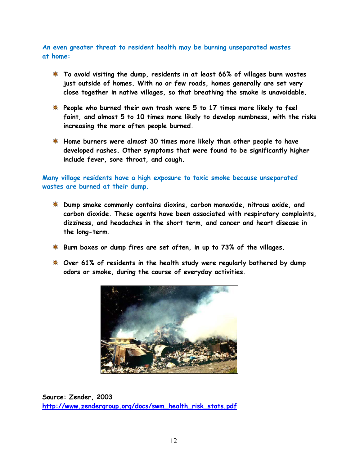**An even greater threat to resident health may be burning unseparated wastes at home:**

- **To avoid visiting the dump, residents in at least 66% of villages burn wastes just outside of homes. With no or few roads, homes generally are set very close together in native villages, so that breathing the smoke is unavoidable.**
- **People who burned their own trash were 5 to 17 times more likely to feel faint, and almost 5 to 10 times more likely to develop numbness, with the risks increasing the more often people burned.**
- **Home burners were almost 30 times more likely than other people to have developed rashes. Other symptoms that were found to be significantly higher include fever, sore throat, and cough.**

**Many village residents have a high exposure to toxic smoke because unseparated wastes are burned at their dump.**

- **Dump smoke commonly contains dioxins, carbon monoxide, nitrous oxide, and carbon dioxide. These agents have been associated with respiratory complaints, dizziness, and headaches in the short term, and cancer and heart disease in the long-term.**
- **Burn boxes or dump fires are set often, in up to 73% of the villages.**
- **Over 61% of residents in the health study were regularly bothered by dump odors or smoke, during the course of everyday activities.**



**Source: Zender, 2003 [http://www.zendergroup.org/docs/swm\\_health\\_risk\\_stats.pdf](http://www.zendergroup.org/docs/swm_health_risk_stats.pdf)**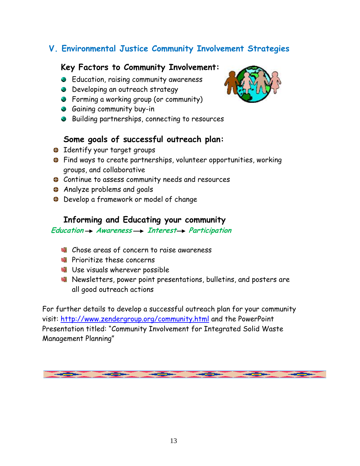## <span id="page-13-0"></span>**V. Environmental Justice Community Involvement Strategies**

## **Key Factors to Community Involvement:**

- **B** Education, raising community awareness
- **B** Developing an outreach strategy
- **•** Forming a working group (or community)
- **Gaining community buy-in**
- Building partnerships, connecting to resources

## **Some goals of successful outreach plan:**

- **B** Identify your target groups
- Find ways to create partnerships, volunteer opportunities, working groups, and collaborative
- Continue to assess community needs and resources
- **Analyze problems and goals**
- Develop a framework or model of change

## **Informing and Educating your community**

## Education  $\rightarrow$  Awareness  $\rightarrow$  Interest  $\rightarrow$  Participation

- Chose areas of concern to raise awareness
- **Prioritize these concerns**
- **W** Use visuals wherever possible
- Newsletters, power point presentations, bulletins, and posters are all good outreach actions

For further details to develop a successful outreach plan for your community visit:<http://www.zendergroup.org/community.html> and the PowerPoint Presentation titled: "Community Involvement for Integrated Solid Waste Management Planning"

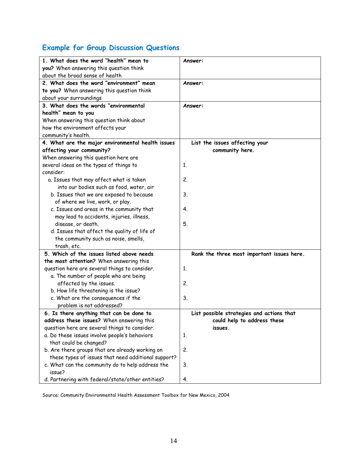## <span id="page-14-0"></span>**Example for Group Discussion Questions**

| 1. What does the word "health" mean to              | Answer:                                    |
|-----------------------------------------------------|--------------------------------------------|
| you? When answering this question think             |                                            |
| about the broad sense of health                     |                                            |
| 2. What does the word "environment" mean            | Answer:                                    |
| to you? When answering this question think          |                                            |
| about your surroundings                             |                                            |
| 3. What does the words "environmental               | Answer:                                    |
| health" mean to you                                 |                                            |
| When answering this question think about            |                                            |
| how the environment affects your                    |                                            |
| community's health.                                 |                                            |
| 4. What are the major environmental health issues   | List the issues affecting your             |
| affecting your community?                           | community here.                            |
| When answering this question here are               |                                            |
| several ideas on the types of things to             | 1.                                         |
| consider:                                           |                                            |
| a. Issues that may affect what is taken             | 2.                                         |
| into our bodies such as food, water, air            |                                            |
| b. Issues that we are exposed to because            | 3.                                         |
| of where we live, work, or play.                    |                                            |
| c. Issues and areas in the community that           | 4.                                         |
| may lead to accidents, injuries, illness,           |                                            |
| disease, or death.                                  | 5.                                         |
| d. Issues that affect the quality of life of        |                                            |
| the community such as noise, smells,                |                                            |
| trash, etc.                                         |                                            |
| 5. Which of the issues listed above needs           | Rank the three most important issues here. |
| the most attention? When answering this             |                                            |
| question here are several things to consider.       | 1.                                         |
| a. The number of people who are being               |                                            |
| affected by the issues.                             | 2.                                         |
| b. How life threatening is the issue?               |                                            |
| c. What are the consequences if the                 | 3.                                         |
| problem is not addressed?                           |                                            |
| 6. Is there anything that can be done to            | List possible strategies and actions that  |
| address these issues? When answering this           | could help to address these                |
| question here are several things to consider.       | issues.                                    |
| a. Do these issues involve people's behaviors       | 1.                                         |
| that could be changed?                              |                                            |
| b. Are there groups that are already working on     | 2.                                         |
| these types of issues that need additional support? |                                            |
| c. What can the community do to help address the    | 3.                                         |
| issue?                                              |                                            |
| d. Partnering with federal/state/other entities?    | 4.                                         |

Source: Community Environmental Health Assessment Toolbox for New Mexico, 2004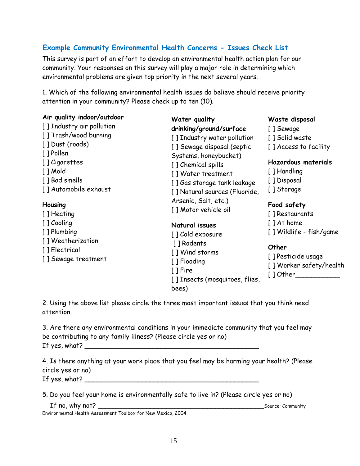## <span id="page-15-0"></span>**Example Community Environmental Health Concerns - Issues Check List**

This survey is part of an effort to develop an environmental health action plan for our community. Your responses on this survey will play a major role in determining which environmental problems are given top priority in the next several years.

1. Which of the following environmental health issues do believe should receive priority attention in your community? Please check up to ten (10).

| Air quality indoor/outdoor<br>[] Industry air pollution<br>[ ] Trash/wood burning<br>[ ] Dust (roads)<br>[ ] Pollen<br>[] Cigarettes<br>$[$ ] Mold<br>[ ] Bad smells<br>[] Automobile exhaust<br>Housing<br>[ ] Heating<br>[ ] Cooling<br>[ ] Plumbing<br>[] Weatherization<br>[] Electrical<br>[] Sewage treatment | Water quality<br>drinking/ground/surface<br>[] Industry water pollution<br>[] Sewage disposal (septic<br>Systems, honeybucket)<br>[] Chemical spills<br>[] Water treatment<br>[] Gas storage tank leakage<br>[] Natural sources (Fluoride,<br>Arsenic, Salt, etc.)<br>[] Motor vehicle oil<br>Natural issues<br>[] Cold exposure<br>[ ] Rodents<br>[ ] Wind storms<br>[ ] Flooding<br>I I Fire<br>[] Insects (mosquitoes, flies,<br>bees) | Waste disposal<br>[ ] Sewage<br>[ ] Solid waste<br>[] Access to facility<br><b>Hazardous materials</b><br>[ ] Handling<br>[ ] Disposal<br>[] Storage<br>Food safety<br>[ ] Restaurants<br>$[$ ] At home<br>[] Wildlife - fish/game<br>Other<br>[] Pesticide usage<br>[ ] Worker safety/health<br>[ ] Other |
|---------------------------------------------------------------------------------------------------------------------------------------------------------------------------------------------------------------------------------------------------------------------------------------------------------------------|-------------------------------------------------------------------------------------------------------------------------------------------------------------------------------------------------------------------------------------------------------------------------------------------------------------------------------------------------------------------------------------------------------------------------------------------|------------------------------------------------------------------------------------------------------------------------------------------------------------------------------------------------------------------------------------------------------------------------------------------------------------|
|---------------------------------------------------------------------------------------------------------------------------------------------------------------------------------------------------------------------------------------------------------------------------------------------------------------------|-------------------------------------------------------------------------------------------------------------------------------------------------------------------------------------------------------------------------------------------------------------------------------------------------------------------------------------------------------------------------------------------------------------------------------------------|------------------------------------------------------------------------------------------------------------------------------------------------------------------------------------------------------------------------------------------------------------------------------------------------------------|

2. Using the above list please circle the three most important issues that you think need attention.

| 3. Are there any environmental conditions in your immediate community that you feel may |
|-----------------------------------------------------------------------------------------|
| be contributing to any family illness? (Please circle yes or no)                        |
| If yes, what?                                                                           |

4. Is there anything at your work place that you feel may be harming your health? (Please circle yes or no) If yes, what? \_\_\_\_\_\_\_\_\_\_\_\_\_\_\_\_\_\_\_\_\_\_\_\_\_\_\_\_\_\_\_\_\_\_\_\_\_\_\_\_\_\_\_

5. Do you feel your home is environmentally safe to live in? (Please circle yes or no)

| If no, why not?                                              | Source: Community |
|--------------------------------------------------------------|-------------------|
| Environmental Health Assessment Toolbox for New Mexico, 2004 |                   |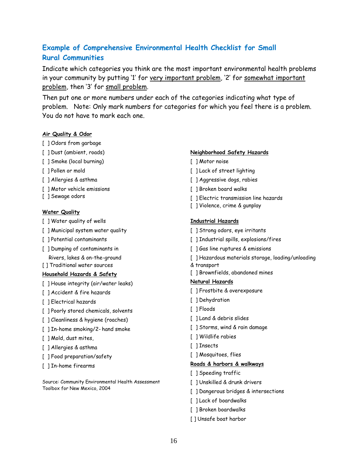## <span id="page-16-0"></span>**Example of Comprehensive Environmental Health Checklist for Small Rural Communities**

Indicate which categories you think are the most important environmental health problems in your community by putting '1' for very important problem, '2' for somewhat important problem, then '3' for small problem.

Then put one or more numbers under each of the categories indicating what type of problem. Note: Only mark numbers for categories for which you feel there is a problem. You do not have to mark each one.

#### **Air Quality & Odor**

- [ ] Odors from garbage
- [ ] Dust (ambient, roads)
- [ ] Smoke (local burning)
- [ ] Pollen or mold
- [ ] Allergies & asthma
- [ ] Motor vehicle emissions
- [ ] Sewage odors

#### **Water Quality**

- [ ] Water quality of wells
- [ ] Municipal system water quality
- [ ] Potential contaminants
- [ ] Dumping of contaminants in Rivers, lakes & on-the-ground
- [ ] Traditional water sources

#### **Household Hazards & Safety**

- [ ] House integrity (air/water leaks)
- [ ] Accident & fire hazards
- [ ] Electrical hazards
- [ ] Poorly stored chemicals, solvents
- [ ] Cleanliness & hygiene (roaches)
- [ ] In-home smoking/2- hand smoke
- [ ] Mold, dust mites,
- [ ] Allergies & asthma
- [ ] Food preparation/safety
- [ ] In-home firearms

Source: Community Environmental Health Assessment Toolbox for New Mexico, 2004

#### **Neighborhood Safety Hazards**

- [ ] Motor noise
- [ ] Lack of street lighting
- [ ] Aggressive dogs, rabies
- [ ] Broken board walks
- [ ] Electric transmission line hazards
- [ ] Violence, crime & gunplay

#### **Industrial Hazards**

- [ ] Strong odors, eye irritants
- [ ] Industrial spills, explosions/fires
- [ ] Gas line ruptures & emissions
- [ ] Hazardous materials storage, loading/unloading
- & transport
- [ ] Brownfields, abandoned mines

#### **Natural Hazards**

- [ ] Frostbite & overexposure
- [ ] Dehydration
- [ ] Floods
- [ ] Land & debris slides
- [ ] Storms, wind & rain damage
- [ ] Wildlife rabies
- [ ] Insects
- [ ] Mosquitoes, flies

#### **Roads & harbors & walkways**

- [ ] Speeding traffic
- [ ] Unskilled & drunk drivers
- [ ] Dangerous bridges & intersections
- [ ] Lack of boardwalks
- [ ] Broken boardwalks
- [ ] Unsafe boat harbor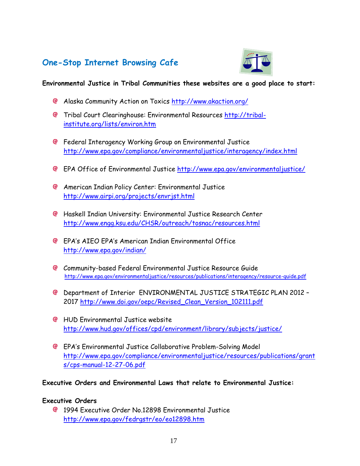## <span id="page-17-0"></span>**One-Stop Internet Browsing Cafe**



## **Environmental Justice in Tribal Communities these websites are a good place to start:**

- Alaska Community Action on Toxics<http://www.akaction.org/>
- **@** Tribal Court Clearinghouse: Environmental Resources [http://tribal](http://tribal-institute.org/lists/environ.htm)[institute.org/lists/environ.htm](http://tribal-institute.org/lists/environ.htm)
- **C** Federal Interagency Working Group on Environmental Justice <http://www.epa.gov/compliance/environmentaljustice/interagency/index.html>
- EPA Office of Environmental Justice<http://www.epa.gov/environmentaljustice/>
- American Indian Policy Center: Environmental Justice <http://www.airpi.org/projects/envrjst.html>
- Haskell Indian University: Environmental Justice Research Center <http://www.engg.ksu.edu/CHSR/outreach/tosnac/resources.html>
- EPA"s AIEO EPA"s American Indian Environmental Office <http://www.epa.gov/indian/>
- Community-based Federal Environmental Justice Resource Guide <http://www.epa.gov/environmentaljustice/resources/publications/interagency/resource-guide.pdf>
- Department of Interior ENVIRONMENTAL JUSTICE STRATEGIC PLAN 2012 2017 [http://www.doi.gov/oepc/Revised\\_Clean\\_Version\\_102111.pdf](http://www.doi.gov/oepc/Revised_Clean_Version_102111.pdf)
- **C** HUD Environmental Justice website <http://www.hud.gov/offices/cpd/environment/library/subjects/justice/>
- EPA"s Environmental Justice Collaborative Problem-Solving Model [http://www.epa.gov/compliance/environmentaljustice/resources/publications/grant](http://www.epa.gov/compliance/environmentaljustice/resources/publications/grant%09s/cps-manual-12-27-06.pdf) [s/cps-manual-12-27-06.pdf](http://www.epa.gov/compliance/environmentaljustice/resources/publications/grant%09s/cps-manual-12-27-06.pdf)

## **Executive Orders and Environmental Laws that relate to Environmental Justice:**

## **Executive Orders**

1994 Executive Order No.12898 Environmental Justice <http://www.epa.gov/fedrgstr/eo/eo12898.htm>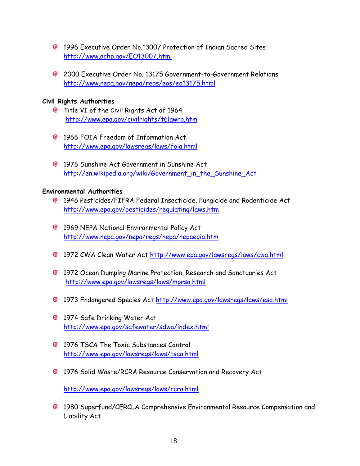- 1996 Executive Order No.13007 Protection of Indian Sacred Sites <http://www.achp.gov/EO13007.html>
- 2000 Executive Order No. 13175 Government-to-Government Relations <http://www.nepa.gov/nepa/regs/eos/eo13175.html>

## **Civil Rights Authorities**

- **C** Title VI of the Civil Rights Act of 1964 <http://www.epa.gov/civilrights/t6lawrg.htm>
- 1966 FOIA Freedom of Information Act <http://www.epa.gov/lawsregs/laws/foia.html>
- 1976 Sunshine Act Government in Sunshine Act [http://en.wikipedia.org/wiki/Government\\_in\\_the\\_Sunshine\\_Act](http://en.wikipedia.org/wiki/Government_in_the_Sunshine_Act)

#### **Environmental Authorities**

- 1946 Pesticides/FIFRA Federal Insecticide, Fungicide and Rodenticide Act <http://www.epa.gov/pesticides/regulating/laws.htm>
- <sup>@</sup> 1969 NEPA National Environmental Policy Act <http://www.nepa.gov/nepa/regs/nepa/nepaeqia.htm>
- 1972 CWA Clean Water Act<http://www.epa.gov/lawsregs/laws/cwa.html>
- 1972 Ocean Dumping Marine Protection, Research and Sanctuaries Act <http://www.epa.gov/lawsregs/laws/mprsa.html>
- 1973 Endangered Species Act<http://www.epa.gov/lawsregs/laws/esa.html>
- <sup>2</sup> 1974 Safe Drinking Water Act <http://www.epa.gov/safewater/sdwa/index.html>
- **@ 1976 TSCA The Toxic Substances Control** <http://www.epa.gov/lawsregs/laws/tsca.html>
- 1976 Solid Waste/RCRA Resource Conservation and Recovery Act

<http://www.epa.gov/lawsregs/laws/rcra.html>

1980 Superfund/CERCLA Comprehensive Environmental Resource Compensation and Liability Act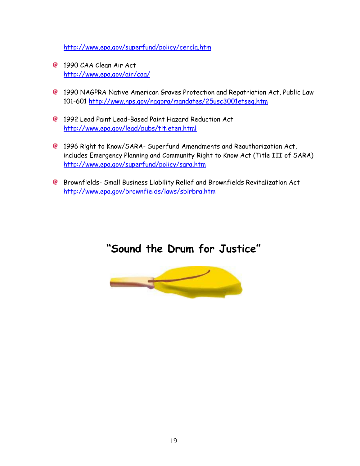<http://www.epa.gov/superfund/policy/cercla.htm>

- **@** 1990 CAA Clean Air Act <http://www.epa.gov/air/caa/>
- 1990 NAGPRA Native American Graves Protection and Repatriation Act, Public Law 101-601<http://www.nps.gov/nagpra/mandates/25usc3001etseq.htm>
- 1992 Lead Paint Lead-Based Paint Hazard Reduction Act <http://www.epa.gov/lead/pubs/titleten.html>
- 1996 Right to Know/SARA- Superfund Amendments and Reauthorization Act, includes Emergency Planning and Community Right to Know Act (Title III of SARA) <http://www.epa.gov/superfund/policy/sara.htm>
- Brownfields- Small Business Liability Relief and Brownfields Revitalization Act <http://www.epa.gov/brownfields/laws/sblrbra.htm>

## **"Sound the Drum for Justice"**

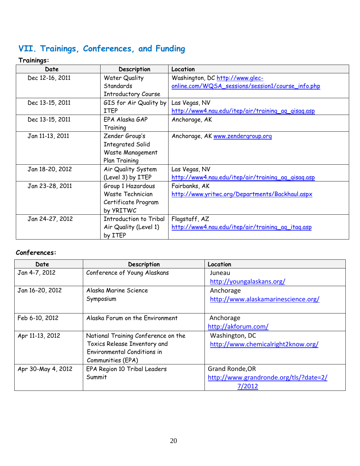## <span id="page-20-0"></span>**VII. Trainings, Conferences, and Funding**

 **Trainings:**

| Date            | Description                   | Location                                           |
|-----------------|-------------------------------|----------------------------------------------------|
| Dec 12-16, 2011 | <b>Water Quality</b>          | Washington, DC http://www.glec-                    |
|                 | Standards                     | online.com/WQSA_sessions/session1/course_info.php  |
|                 | <b>Introductory Course</b>    |                                                    |
| Dec 13-15, 2011 | GIS for Air Quality by        | Las Vegas, NV                                      |
|                 | ITEP                          | http://www4.nau.edu/itep/air/training_ag_gisag.asp |
| Dec 13-15, 2011 | EPA Alaska GAP                | Anchorage, AK                                      |
|                 | Training                      |                                                    |
| Jan 11-13, 2011 | Zender Group's                | Anchorage, AK www.zendergroup.org                  |
|                 | <b>Integrated Solid</b>       |                                                    |
|                 | Waste Management              |                                                    |
|                 | Plan Training                 |                                                    |
| Jan 18-20, 2012 | Air Quality System            | Las Vegas, NV                                      |
|                 | (Level 3) by ITEP             | http://www4.nau.edu/itep/air/training_ag_gisag.asp |
| Jan 23-28, 2011 | Group 1 Hazardous             | Fairbanks, AK                                      |
|                 | Waste Technician              | http://www.yritwc.org/Departments/Backhaul.aspx    |
|                 | Certificate Program           |                                                    |
|                 | by YRITWC                     |                                                    |
| Jan 24-27, 2012 | <b>Introduction to Tribal</b> | Flagstaff, AZ                                      |
|                 | Air Quality (Level 1)         | http://www4.nau.edu/itep/air/training_ag_itag.asp  |
|                 | by ITEP                       |                                                    |

## **Conferences:**

| Date               | Description                         | Location                               |
|--------------------|-------------------------------------|----------------------------------------|
| Jan 4-7, 2012      | Conference of Young Alaskans        | Juneau                                 |
|                    |                                     | http://youngalaskans.org/              |
| Jan 16-20, 2012    | Alaska Marine Science               | Anchorage                              |
|                    | Symposium                           | http://www.alaskamarinescience.org/    |
|                    |                                     |                                        |
| Feb 6-10, 2012     | Alaska Forum on the Environment     | Anchorage                              |
|                    |                                     | http://akforum.com/                    |
| Apr 11-13, 2012    | National Training Conference on the | Washington, DC                         |
|                    | Toxics Release Inventory and        | http://www.chemicalright2know.org/     |
|                    | Environmental Conditions in         |                                        |
|                    | Communities (EPA)                   |                                        |
| Apr 30-May 4, 2012 | EPA Region 10 Tribal Leaders        | Grand Ronde, OR                        |
|                    | Summit                              | http://www.grandronde.org/tls/?date=2/ |
|                    |                                     | 7/2012                                 |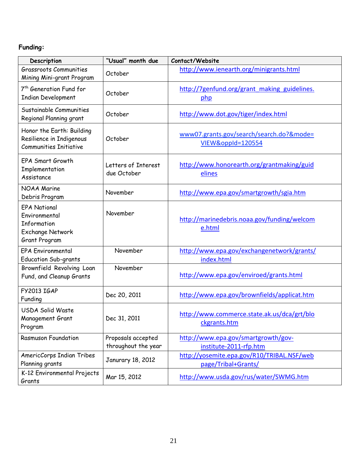## **Funding:**

| Description                                                                                            | "Usual" month due                         | Contact/Website                                                   |
|--------------------------------------------------------------------------------------------------------|-------------------------------------------|-------------------------------------------------------------------|
| <b>Grassroots Communities</b><br>Mining Mini-grant Program                                             | October                                   | http://www.ienearth.org/minigrants.html                           |
| 7 <sup>th</sup> Generation Fund for<br><b>Indian Development</b>                                       | October                                   | http://7genfund.org/grant making guidelines.<br>php               |
| Sustainable Communities<br>Regional Planning grant                                                     | October                                   | http://www.dot.gov/tiger/index.html                               |
| Honor the Earth: Building<br>Resilience in Indigenous<br><b>Communities Initiative</b>                 | October                                   | www07.grants.gov/search/search.do?&mode=<br>VIEW&oppId=120554     |
| <b>EPA Smart Growth</b><br>Implementation<br>Assistance                                                | Letters of Interest<br>due October        | http://www.honorearth.org/grantmaking/guid<br>elines              |
| <b>NOAA Marine</b><br>Debris Program                                                                   | November                                  | http://www.epa.gov/smartgrowth/sgia.htm                           |
| <b>EPA National</b><br>Environmental<br>Information<br><b>Exchange Network</b><br><b>Grant Program</b> | November                                  | http://marinedebris.noaa.gov/funding/welcom<br>e.html             |
| <b>EPA Environmental</b><br><b>Education Sub-grants</b>                                                | November                                  | http://www.epa.gov/exchangenetwork/grants/<br>index.html          |
| Brownfield Revolving Loan<br>Fund, and Cleanup Grants                                                  | November                                  | http://www.epa.gov/enviroed/grants.html                           |
| <b>FY2013 IGAP</b><br>Funding                                                                          | Dec 20, 2011                              | http://www.epa.gov/brownfields/applicat.htm                       |
| <b>USDA Solid Waste</b><br><b>Management Grant</b><br>Program                                          | Dec 31, 2011                              | http://www.commerce.state.ak.us/dca/grt/blo<br>ckgrants.htm       |
| <b>Rasmuson Foundation</b>                                                                             | Proposals accepted<br>throughout the year | http://www.epa.gov/smartgrowth/gov-<br>institute-2011-rfp.htm     |
| AmericCorps Indian Tribes<br>Planning grants                                                           | Janurary 18, 2012                         | http://yosemite.epa.gov/R10/TRIBAL.NSF/web<br>page/Tribal+Grants/ |
| K-12 Environmental Projects<br>Grants                                                                  | Mar 15, 2012                              | http://www.usda.gov/rus/water/SWMG.htm                            |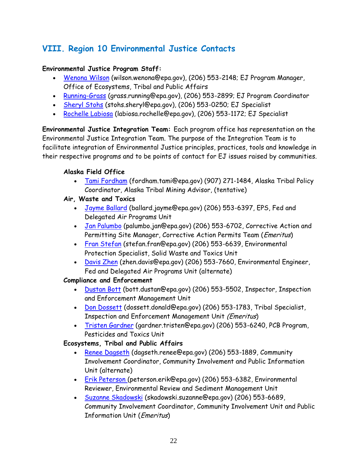## <span id="page-22-0"></span>**VIII. Region 10 Environmental Justice Contacts**

## **Environmental Justice Program Staff:**

- [Wenona Wilson](mailto:Wilson.Wenona@epa.gov) (wilson.wenona@epa.gov), (206) 553-2148; EJ Program Manager, Office of Ecosystems, Tribal and Public Affairs
- [Running-Grass](mailto:grass.running@epa.gov) (grass.running@epa.gov), (206) 553-2899; EJ Program Coordinator
- [Sheryl Stohs](mailto:Stohs.Sheryl@epa.gov) (stohs.sheryl@epa.gov), (206) 553-0250; EJ Specialist
- [Rochelle Labiosa](mailto:labiosa.rochelle@epa.gov) (labiosa.rochelle@epa.gov), (206) 553-1172; EJ Specialist

**Environmental Justice Integration Team:** Each program office has representation on the Environmental Justice Integration Team. The purpose of the Integration Team is to facilitate integration of Environmental Justice principles, practices, tools and knowledge in their respective programs and to be points of contact for EJ issues raised by communities.

#### **Alaska Field Office**

- [Tami Fordham](mailto:Fordham.Tami@epa.gov) (fordham.tami@epa.gov) (907) 271-1484, Alaska Tribal Policy Coordinator, Alaska Tribal Mining Advisor, (tentative)
- **Air, Waste and Toxics** 
	- . [Jayme Ballard](mailto:ballard.jayme@epa.gov) (ballard.jayme@epa.gov) (206) 553-6397, EPS, Fed and Delegated Air Programs Unit
	- . [Jan Palumbo](mailto:palumbo.jan@epa.gov) (palumbo.jan@epa.gov) (206) 553-6702, Corrective Action and Permitting Site Manager, Corrective Action Permits Team (*Emeritus*)
	- [Fran Stefan](mailto:stefan.fran@epa.gov) (stefan.fran@epa.gov) (206) 553-6639, Environmental Protection Specialist, Solid Waste and Toxics Unit
	- [Davis Zhen](mailto:zhen.davis@epa.gov) (zhen.davis@epa.gov) (206) 553-7660, Environmental Engineer, Fed and Delegated Air Programs Unit (alternate)

## **Compliance and Enforcement**

- [Dustan Bott](mailto:bott.dustan@epa.gov) (bott.dustan@epa.gov) (206) 553-5502, Inspector, Inspection and Enforcement Management Unit
- [Don Dossett](mailto:Dossett.Donald@epa.gov) (dossett.donald@epa.gov) (206) 553-1783, Tribal Specialist, Inspection and Enforcement Management Unit (Emeritus)
- [Tristen Gardner](mailto:gardner.tristen@epa.gov) (gardner.tristen@epa.gov) (206) 553-6240, PCB Program, Pesticides and Toxics Unit

## **Ecosystems, Tribal and Public Affairs**

- [Renee Dagseth](mailto:Dagseth.Renee@epa.gov) (dagseth.renee@epa.gov) (206) 553-1889, Community Involvement Coordinator, Community Involvement and Public Information Unit (alternate)
- [Erik Peterson \(](mailto:peterson.erik@epa.gov)peterson.erik@epa.gov) (206) 553-6382, Environmental Reviewer, Environmental Review and Sediment Management Unit
- [Suzanne Skadowski](mailto:skadowski.suzanne@epa.gov) (skadowski.suzanne@epa.gov) (206) 553-6689, Community Involvement Coordinator, Community Involvement Unit and Public Information Unit (Emeritus)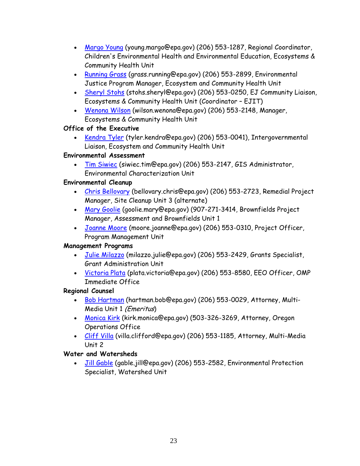- [Margo Young](mailto:young.margo@epa.gov) (young.margo@epa.gov) (206) 553-1287, Regional Coordinator, Children's Environmental Health and Environmental Education, Ecosystems & Community Health Unit
- [Running Grass](mailto:grass.running@epa.gov) (grass.running@epa.gov) (206) 553-2899, Environmental Justice Program Manager, Ecosystem and Community Health Unit
- [Sheryl Stohs](mailto:stohs.sheryl@epa.gov) (stohs.sheryl@epa.gov) (206) 553-0250, EJ Community Liaison, Ecosystems & Community Health Unit (Coordinator – EJIT)
- [Wenona Wilson](mailto:wilson.wenona@epa.gov) (wilson.wenona@epa.gov) (206) 553-2148, Manager, Ecosystems & Community Health Unit

## **Office of the Executive**

 [Kendra Tyler](mailto:tyler.kendra@epa.gov) (tyler.kendra@epa.gov) (206) 553-0041), Intergovernmental Liaison, Ecosystem and Community Health Unit

## **Environmental Assessment**

. [Tim Siwiec](mailto:siwiec.tim@epa.gov) (siwiec.tim@epa.gov) (206) 553-2147, GIS Administrator, Environmental Characterization Unit

## **Environmental Cleanup**

- [Chris Bellovary](mailto:bellovary.chris@epa.gov) (bellovary.chris@epa.gov) (206) 553-2723, Remedial Project Manager, Site Cleanup Unit 3 (alternate)
- [Mary Goolie](mailto:goolie.mary@epa.gov) (goolie.mary@epa.gov) (907-271-3414, Brownfields Project Manager, Assessment and Brownfields Unit 1
- [Joanne Moore](mailto:moore.joanne@epa.gov) (moore.joanne@epa.gov) (206) 553-0310, Project Officer, Program Management Unit

## **Management Programs**

- [Julie Milazzo](mailto:milazzo.julie@epa.gov) (milazzo.julie@epa.gov) (206) 553-2429, Grants Specialist, Grant Administration Unit
- [Victoria Plata](mailto:plata.victoria@epa.gov) (plata.victoria@epa.gov) (206) 553-8580, EEO Officer, OMP Immediate Office

## **Regional Counsel**

- . [Bob Hartman](mailto:hartman.bob@epa.gov) (hartman.bob@epa.gov) (206) 553-0029, Attorney, Multi-Media Unit 1 (Emeritus)
- [Monica Kirk](mailto:kirk.monica@epa.gov) (kirk.monica@epa.gov) (503-326-3269, Attorney, Oregon Operations Office
- [Cliff Villa](mailto:villa.clifford@epa.gov) (villa.clifford@epa.gov) (206) 553-1185, Attorney, Multi-Media Unit 2

## **Water and Watersheds**

 [Jill Gable](mailto:gable.jill@epa.gov) (gable.jill@epa.gov) (206) 553-2582, Environmental Protection Specialist, Watershed Unit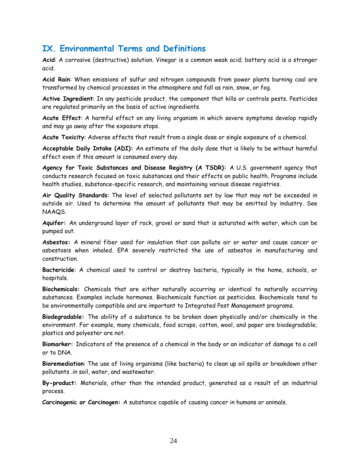## <span id="page-24-0"></span>**IX. Environmental Terms and Definitions**

**Acid**: A corrosive (destructive) solution. Vinegar is a common weak acid; battery acid is a stronger acid.

**Acid Rain**: When emissions of sulfur and nitrogen compounds from power plants burning coal are transformed by chemical processes in the atmosphere and fall as rain, snow, or fog.

**Active Ingredient**: In any pesticide product, the component that kills or controls pests. Pesticides are regulated primarily on the basis of active ingredients.

**Acute Effect**: A harmful effect on any living organism in which severe symptoms develop rapidly and may go away after the exposure stops.

**Acute Toxicity**: Adverse effects that result from a single dose or single exposure of a chemical.

**Acceptable Daily Intake (ADI):** An estimate of the daily dose that is likely to be without harmful effect even if this amount is consumed every day.

**Agency for Toxic Substances and Disease Registry (A TSDR):** A U.S. government agency that conducts research focused on toxic substances and their effects on public health. Programs include health studies, substance-specific research, and maintaining various disease registries.

**Air Quality Standards**: The level of selected pollutants set by law that may not be exceeded in outside air. Used to determine the amount of pollutants that may be emitted by industry. See NAAQS.

**Aquifer:** An underground layer of rock, gravel or sand that is saturated with water, which can be pumped out.

**Asbestos:** A mineral fiber used for insulation that can pollute air or water and cause cancer or asbestosis when inhaled. EPA severely restricted the use of asbestos in manufacturing and construction.

**Bactericide**: A chemical used to control or destroy bacteria, typically in the home, schools, or hospitals.

**Biochemicals:** Chemicals that are either naturally occurring or identical to naturally occurring substances. Examples include hormones. Biochemicals function as pesticides. Biochemicals tend to be environmentally compatible and are important to Integrated Pest Management programs.

**Biodegradable:** The ability of a substance to be broken down physically and/or chemically in the environment. For example, many chemicals, food scraps, cotton, wool, and paper are biodegradable; plastics and polyester are not.

**Biomarker:** Indicators of the presence of a chemical in the body or an indicator of damage to a cell or to DNA.

**Bioremediation**: The use of living organisms (like bacteria) to clean up oil spills or breakdown other pollutants .in soil, water, and wastewater.

**By-product:** Materials, other than the intended product, generated as a result of an industrial process.

**Carcinogenic or Carcinogen:** A substance capable of causing cancer in humans or animals.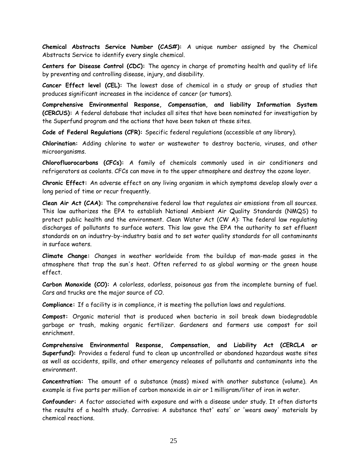**Chemical Abstracts Service Number (CAS#):** A unique number assigned by the Chemical Abstracts Service to identify every single chemical.

**Centers for Disease Control (CDC):** The agency in charge of promoting health and quality of life by preventing and controlling disease, injury, and disability.

**Cancer Effect level (CEL):** The lowest dose of chemical in a study or group of studies that produces significant increases in the incidence of cancer (or tumors).

**Comprehensive Environmental Response, Compensation, and liability Information System (CERCUS):** A federal database that includes all sites that have been nominated for investigation by the Superfund program and the actions that have been taken at these sites.

**Code of Federal Regulations (CFR):** Specific federal regulations (accessible at any library).

**Chlorination:** Adding chlorine to water or wastewater to destroy bacteria, viruses, and other microorganisms.

**Chlorofluorocarbons (CFCs):** A family of chemicals commonly used in air conditioners and refrigerators as coolants. CFCs can move in to the upper atmosphere and destroy the ozone layer.

**Chronic Effect:** An adverse effect on any living organism in which symptoms develop slowly over a long period of time or recur frequently.

**Clean Air Act (CAA):** The comprehensive federal law that regulates air emissions from all sources. This law authorizes the EPA to establish National Ambient Air Quality Standards (NMQS) to protect public health and the environment. Clean Water Act (CW A): The federal law regulating discharges of pollutants to surface waters. This law gave the EPA the authority to set effluent standards on an industry-by-industry basis and to set water quality standards for all contaminants in surface waters.

**Climate Change:** Changes in weather worldwide from the buildup of man-made gases in the atmosphere that trap the sun's heat. Often referred to as global warming or the green house effect.

**Carbon Monoxide (CO):** A colorless, odorless, poisonous gas from the incomplete burning of fuel. Cars and trucks are the major source of CO.

**Compliance:** If a facility is in compliance, it is meeting the pollution laws and regulations.

**Compost:** Organic material that is produced when bacteria in soil break down biodegradable garbage or trash, making organic fertilizer. Gardeners and farmers use compost for soil enrichment.

**Comprehensive Environmental Response, Compensation, and Liability Act (CERCLA or Superfund):** Provides a federal fund to clean up uncontrolled or abandoned hazardous waste sites as well as accidents, spills, and other emergency releases of pollutants and contaminants into the environment.

**Concentration:** The amount of a substance (mass) mixed with another substance (volume). An example is five parts per million of carbon monoxide in air or 1 milligram/liter of iron in water.

**Confounder:** A factor associated with exposure and with a disease under study. It often distorts the results of a health study. Corrosive: A substance that' eats' or 'wears away' materials by chemical reactions.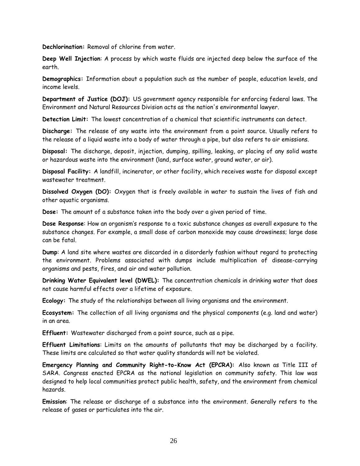**Dechlorination:** Removal of chlorine from water.

**Deep Well Injection**: A process by which waste fluids are injected deep below the surface of the earth.

**Demographics:** Information about a population such as the number of people, education levels, and income levels.

**Department of Justice (DOJ):** US government agency responsible for enforcing federal laws. The Environment and Natural Resources Division acts as the nation's environmental lawyer.

**Detection Limit:** The lowest concentration of a chemical that scientific instruments can detect.

**Discharge:** The release of any waste into the environment from a point source. Usually refers to the release of a liquid waste into a body of water through a pipe, but also refers to air emissions.

**Disposal:** The discharge, deposit, injection, dumping, spilling, leaking, or placing of any solid waste or hazardous waste into the environment (land, surface water, ground water, or air).

**Disposal Facility:** A landfill, incinerator, or other facility, which receives waste for disposal except wastewater treatment.

**Dissolved Oxygen (DO):** Oxygen that is freely available in water to sustain the lives of fish and other aquatic organisms.

**Dose:** The amount of a substance taken into the body over a given period of time.

**Dose Response**: How an organism"s response to a toxic substance changes as overall exposure to the substance changes. For example, a small dose of carbon monoxide may cause drowsiness; large dose can be fatal.

**Dump**: A land site where wastes are discarded in a disorderly fashion without regard to protecting the environment. Problems associated with dumps include multiplication of disease-carrying organisms and pests, fires, and air and water pollution.

**Drinking Water Equivalent level (DWEL):** The concentration chemicals in drinking water that does not cause harmful effects over a lifetime of exposure.

**Ecology:** The study of the relationships between all living organisms and the environment.

**Ecosystem:** The collection of all living organisms and the physical components (e.g. land and water) in an area.

**Effluent:** Wastewater discharged from a point source, such as a pipe.

**Effluent Limitations**: Limits on the amounts of pollutants that may be discharged by a facility. These limits are calculated so that water quality standards will not be violated.

**Emergency Planning and Community Right-to-Know Act (EPCRA):** Also known as Title III of SARA. Congress enacted EPCRA as the national legislation on community safety. This law was designed to help local communities protect public health, safety, and the environment from chemical hazards.

**Emission**: The release or discharge of a substance into the environment. Generally refers to the release of gases or particulates into the air.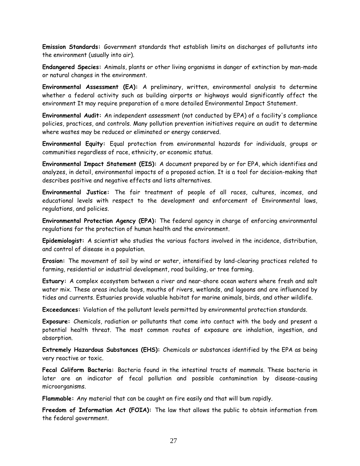**Emission Standards:** Government standards that establish limits on discharges of pollutants into the environment (usually into air).

**Endangered Species:** Animals, plants or other living organisms in danger of extinction by man-made or natural changes in the environment.

**Environmental Assessment (EA):** A preliminary, written, environmental analysis to determine whether a federal activity such as building airports or highways would significantly affect the environment It may require preparation of a more detailed Environmental Impact Statement.

**Environmental Audit:** An independent assessment (not conducted by EPA) of a facility's compliance policies, practices, and controls. Many pollution prevention initiatives require an audit to determine where wastes may be reduced or eliminated or energy conserved.

**Environmental Equity:** Equal protection from environmental hazards for individuals, groups or communities regardless of race, ethnicity, or economic status.

**Environmental Impact Statement (EIS):** A document prepared by or for EPA, which identifies and analyzes, in detail, environmental impacts of a proposed action. It is a tool for decision-making that describes positive and negative effects and lists alternatives.

**Environmental Justice:** The fair treatment of people of all races, cultures, incomes, and educational levels with respect to the development and enforcement of Environmental laws, regulations, and policies.

**Environmental Protection Agency (EPA):** The federal agency in charge of enforcing environmental regulations for the protection of human health and the environment.

**Epidemiologist:** A scientist who studies the various factors involved in the incidence, distribution, and control of disease in a population.

**Erosion:** The movement of soil by wind or water, intensified by land-clearing practices related to farming, residential or industrial development, road building, or tree farming.

**Estuary:** A complex ecosystem between a river and near-shore ocean waters where fresh and salt water mix. These areas include bays, mouths of rivers, wetlands, and lagoons and are influenced by tides and currents. Estuaries provide valuable habitat for marine animals, birds, and other wildlife.

**Exceedances:** Violation of the pollutant levels permitted by environmental protection standards.

**Exposure:** Chemicals, radiation or pollutants that come into contact with the body and present a potential health threat. The most common routes of exposure are inhalation, ingestion, and absorption.

**Extremely Hazardous Substances (EHS):** Chemicals or substances identified by the EPA as being very reactive or toxic.

**Fecal Coliform Bacteria:** Bacteria found in the intestinal tracts of mammals. These bacteria in later are an indicator of fecal pollution and possible contamination by disease-causing microorganisms.

**Flammable:** Any material that can be caught on fire easily and that will bum rapidly.

**Freedom of Information Act (FOIA):** The law that allows the public to obtain information from the federal government.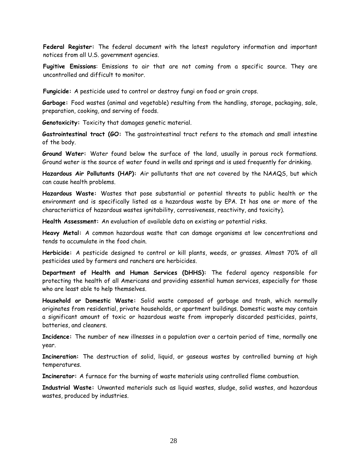**Federal Register:** The federal document with the latest regulatory information and important notices from all U.S. government agencies.

**Fugitive Emissions**: Emissions to air that are not coming from a specific source. They are uncontrolled and difficult to monitor.

**Fungicide:** A pesticide used to control or destroy fungi on food or grain crops.

**Garbage:** Food wastes (animal and vegetable) resulting from the handling, storage, packaging, sale, preparation, cooking, and serving of foods.

**Genotoxicity:** Toxicity that damages genetic material.

**Gastrointestinal tract (GO:** The gastrointestinal tract refers to the stomach and small intestine of the body.

**Ground Water:** Water found below the surface of the land, usually in porous rock formations. Ground water is the source of water found in wells and springs and is used frequently for drinking.

**Hazardous Air Pollutants (HAP):** Air pollutants that are not covered by the NAAQS, but which can cause health problems.

**Hazardous Waste:** Wastes that pose substantial or potential threats to public health or the environment and is specifically listed as a hazardous waste by EPA. It has one or more of the characteristics of hazardous wastes ignitability, corrosiveness, reactivity, and toxicity).

**Health Assessment:** An evaluation of available data on existing or potential risks.

**Heavy Metal:** A common hazardous waste that can damage organisms at low concentrations and tends to accumulate in the food chain.

**Herbicide:** A pesticide designed to control or kill plants, weeds, or grasses. Almost 70% of all pesticides used by farmers and ranchers are herbicides.

**Department of Health and Human Services (DHHS):** The federal agency responsible for protecting the health of all Americans and providing essential human services, especially for those who are least able to help themselves.

**Household or Domestic Waste:** Solid waste composed of garbage and trash, which normally originates from residential, private households, or apartment buildings. Domestic waste may contain a significant amount of toxic or hazardous waste from improperly discarded pesticides, paints, batteries, and cleaners.

**Incidence:** The number of new illnesses in a population over a certain period of time, normally one year.

**Incineration:** The destruction of solid, liquid, or gaseous wastes by controlled burning at high temperatures.

**Incinerator:** A furnace for the burning of waste materials using controlled flame combustion.

**Industrial Waste:** Unwanted materials such as liquid wastes, sludge, solid wastes, and hazardous wastes, produced by industries.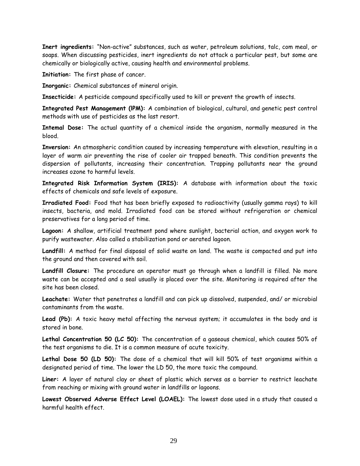**Inert ingredients:** "Non-active" substances, such as water, petroleum solutions, talc, com meal, or soaps. When discussing pesticides, inert ingredients do not attack a particular pest, but some are chemically or biologically active, causing health and environmental problems.

**Initiation:** The first phase of cancer.

**Inorganic:** Chemical substances of mineral origin.

**Insecticide:** A pesticide compound specifically used to kill or prevent the growth of insects.

**Integrated Pest Management (lPM):** A combination of biological, cultural, and genetic pest control methods with use of pesticides as the last resort.

**Intemal Dose:** The actual quantity of a chemical inside the organism, normally measured in the blood.

**Inversion:** An atmospheric condition caused by increasing temperature with elevation, resulting in a layer of warm air preventing the rise of cooler air trapped beneath. This condition prevents the dispersion of pollutants, increasing their concentration. Trapping pollutants near the ground increases ozone to harmful levels.

**Integrated Risk Information System (IRIS):** A database with information about the toxic effects of chemicals and safe levels of exposure.

**Irradiated Food:** Food that has been briefly exposed to radioactivity (usually gamma rays) to kill insects, bacteria, and mold. Irradiated food can be stored without refrigeration or chemical preservatives for a long period of time.

**Lagoon:** A shallow, artificial treatment pond where sunlight, bacterial action, and oxygen work to purify wastewater. Also called a stabilization pond or aerated lagoon.

**Landfill:** A method for final disposal of solid waste on land. The waste is compacted and put into the ground and then covered with soil.

**Landfill Closure:** The procedure an operator must go through when a landfill is filled. No more waste can be accepted and a seal usually is placed over the site. Monitoring is required after the site has been closed.

**Leachate:** Water that penetrates a landfill and can pick up dissolved, suspended, and/ or microbial contaminants from the waste.

**Lead (Pb):** A toxic heavy metal affecting the nervous system; it accumulates in the body and is stored in bone.

**Lethal Concentration 50 (LC 50):** The concentration of a gaseous chemical, which causes 50% of the test organisms to die. It is a common measure of acute toxicity.

Lethal Dose 50 (LD 50): The dose of a chemical that will kill 50% of test organisms within a designated period of time. The lower the LD 50, the more toxic the compound.

**Liner:** A layer of natural clay or sheet of plastic which serves as a barrier to restrict leachate from reaching or mixing with ground water in landfills or lagoons.

**Lowest Observed Adverse Effect Level (LOAEL):** The lowest dose used in a study that caused a harmful health effect.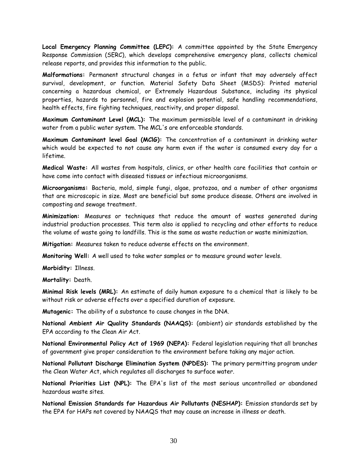**Local Emergency Planning Committee (LEPC):** A committee appointed by the State Emergency Response Commission (SERC), which develops comprehensive emergency plans, collects chemical release reports, and provides this information to the public.

**Malformations:** Permanent structural changes in a fetus or infant that may adversely affect survival, development, or function. Material Safety Data Sheet (MSDS): Printed material concerning a hazardous chemical, or Extremely Hazardous Substance, including its physical properties, hazards to personnel, fire and explosion potential, safe handling recommendations, health effects, fire fighting techniques, reactivity, and proper disposal.

**Maximum Contaminant Level (MCL):** The maximum permissible level of a contaminant in drinking water from a public water system. The MCL's are enforceable standards.

**Maximum Contaminant level Goal (MClG):** The concentration of a contaminant in drinking water which would be expected to not cause any harm even if the water is consumed every day for a lifetime.

**Medical Waste:** All wastes from hospitals, clinics, or other health care facilities that contain or have come into contact with diseased tissues or infectious microorganisms.

**Microorganisms:** Bacteria, mold, simple fungi, algae, protozoa, and a number of other organisms that are microscopic in size. Most are beneficial but some produce disease. Others are involved in composting and sewage treatment.

**Minimization:** Measures or techniques that reduce the amount of wastes generated during industrial production processes. This term also is applied to recycling and other efforts to reduce the volume of waste going to landfills. This is the same as waste reduction or waste minimization.

**Mitigation:** Measures taken to reduce adverse effects on the environment.

**Monitoring Well:** A well used to take water samples or to measure ground water levels.

**Morbidity:** Illness.

**Mortality:** Death.

**Minimal Risk levels (MRL):** An estimate of daily human exposure to a chemical that is likely to be without risk or adverse effects over a specified duration of exposure.

**Mutagenic:** The ability of a substance to cause changes in the DNA.

**National Ambient Air Quality Standards (NAAQS):** (ambient) air standards established by the EPA according to the Clean Air Act.

**National Environmental Policy Act of 1969 (NEPA):** Federal legislation requiring that all branches of government give proper consideration to the environment before taking any major action.

**National Pollutant Discharge Elimination System (NPDES):** The primary permitting program under the Clean Water Act, which regulates all discharges to surface water.

**National Priorities List (NPL):** The EPA's list of the most serious uncontrolled or abandoned hazardous waste sites.

**National Emission Standards for Hazardous Air Pollutants (NESHAP):** Emission standards set by the EPA for HAPs not covered by NAAQS that may cause an increase in illness or death.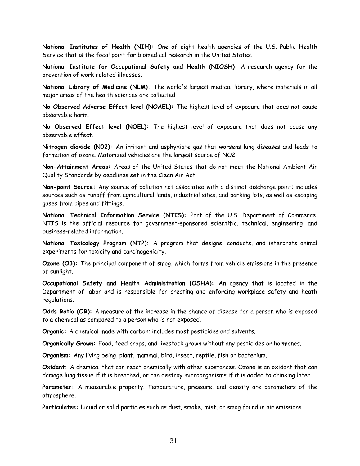**National Institutes of Health (NIH):** One of eight health agencies of the U.S. Public Health Service that is the focal point for biomedical research in the United States.

**National Institute for Occupational Safety and Health (NIOSH):** A research agency for the prevention of work related illnesses.

**National Library of Medicine (NLM):** The world's largest medical library, where materials in all major areas of the health sciences are collected.

**No Observed Adverse Effect level (NOAEL):** The highest level of exposure that does not cause observable harm.

**No Observed Effect level (NOEL):** The highest level of exposure that does not cause any observable effect.

**Nitrogen dioxide (N02):** An irritant and asphyxiate gas that worsens lung diseases and leads to formation of ozone. Motorized vehicles are the largest source of NO2

**Non-Attainment Areas:** Areas of the United States that do not meet the National Ambient Air Quality Standards by deadlines set in the Clean Air Act.

**Non-point Source:** Any source of pollution not associated with a distinct discharge point; includes sources such as runoff from agricultural lands, industrial sites, and parking lots, as well as escaping gases from pipes and fittings.

**National Technical Information Service (NTIS):** Part of the U.S. Department of Commerce. NTIS is the official resource for government-sponsored scientific, technical, engineering, and business-related information.

**National Toxicology Program (NTP):** A program that designs, conducts, and interprets animal experiments for toxicity and carcinogenicity.

**Ozone (O3):** The principal component of smog, which forms from vehicle emissions in the presence of sunlight.

**Occupational Safety and Health Administration (OSHA):** An agency that is located in the Department of labor and is responsible for creating and enforcing workplace safety and heath regulations.

**Odds Ratio (OR):** A measure of the increase in the chance of disease for a person who is exposed to a chemical as compared to a person who is not exposed.

**Organic:** A chemical made with carbon; includes most pesticides and solvents.

**Organically Grown:** Food, feed crops, and livestock grown without any pesticides or hormones.

**Organism:** Any living being, plant, mammal, bird, insect, reptile, fish or bacterium.

**Oxidant:** A chemical that can react chemically with other substances. Ozone is an oxidant that can damage lung tissue if it is breathed, or can destroy microorganisms if it is added to drinking later.

**Parameter:** A measurable property. Temperature, pressure, and density are parameters of the atmosphere.

**Particulates:** Liquid or solid particles such as dust, smoke, mist, or smog found in air emissions.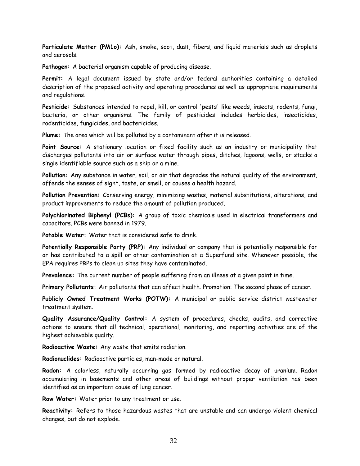**Particulate Matter (PM1o):** Ash, smoke, soot, dust, fibers, and liquid materials such as droplets and aerosols.

**Pathogen:** A bacterial organism capable of producing disease.

**Permit:** A legal document issued by state and/or federal authorities containing a detailed description of the proposed activity and operating procedures as well as appropriate requirements and regulations.

**Pesticide:** Substances intended to repel, kill, or control 'pests' like weeds, insects, rodents, fungi, bacteria, or other organisms. The family of pesticides includes herbicides, insecticides, rodenticides, fungicides, and bactericides.

**Plume:** The area which will be polluted by a contaminant after it is released.

**Point Source:** A stationary location or fixed facility such as an industry or municipality that discharges pollutants into air or surface water through pipes, ditches, lagoons, wells, or stacks a single identifiable source such as a ship or a mine.

**Pollution:** Any substance in water, soil, or air that degrades the natural quality of the environment, offends the senses of sight, taste, or smell, or causes a health hazard.

**Pollution Prevention:** Conserving energy, minimizing wastes, material substitutions, alterations, and product improvements to reduce the amount of pollution produced.

**Polychlorinated Biphenyl (PCBs):** A group of toxic chemicals used in electrical transformers and capacitors. PCBs were banned in 1979.

**Potable Water:** Water that is considered safe to drink.

**Potentially Responsible Party (PRP):** Any individual or company that is potentially responsible for or has contributed to a spill or other contamination at a Superfund site. Whenever possible, the EPA requires PRPs to clean up sites they have contaminated.

**Prevalence:** The current number of people suffering from an illness at a given point in time.

**Primary Pollutants:** Air pollutants that can affect health. Promotion: The second phase of cancer.

**Publicly Owned Treatment Works (POTW):** A municipal or public service district wastewater treatment system.

**Quality Assurance/Quality Control:** A system of procedures, checks, audits, and corrective actions to ensure that all technical, operational, monitoring, and reporting activities are of the highest achievable quality.

**Radioactive Waste:** Any waste that emits radiation.

**Radionuclides:** Radioactive particles, man-made or natural.

**Radon:** A colorless, naturally occurring gas formed by radioactive decay of uranium. Radon accumulating in basements and other areas of buildings without proper ventilation has been identified as an important cause of lung cancer.

**Raw Water:** Water prior to any treatment or use.

**Reactivity:** Refers to those hazardous wastes that are unstable and can undergo violent chemical changes, but do not explode.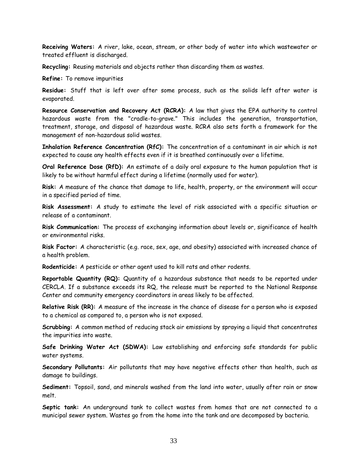**Receiving Waters:** A river, lake, ocean, stream, or other body of water into which wastewater or treated effluent is discharged.

**Recycling:** Reusing materials and objects rather than discarding them as wastes.

**Refine:** To remove impurities

**Residue:** Stuff that is left over after some process, such as the solids left after water is evaporated.

**Resource Conservation and Recovery Act (RCRA):** A law that gives the EPA authority to control hazardous waste from the "cradle-to-grave." This includes the generation, transportation, treatment, storage, and disposal of hazardous waste. RCRA also sets forth a framework for the management of non-hazardous solid wastes.

**Inhalation Reference Concentration (RfC):** The concentration of a contaminant in air which is not expected to cause any health effects even if it is breathed continuously over a lifetime.

**Oral Reference Dose (RfD):** An estimate of a daily oral exposure to the human population that is likely to be without harmful effect during a lifetime (normally used for water).

**Risk:** A measure of the chance that damage to life, health, property, or the environment will occur in a specified period of time.

**Risk Assessment:** A study to estimate the level of risk associated with a specific situation or release of a contaminant.

**Risk Communication:** The process of exchanging information about levels or, significance of health or environmental risks.

**Risk Factor:** A characteristic (e.g. race, sex, age, and obesity) associated with increased chance of a health problem.

**Rodenticide:** A pesticide or other agent used to kill rats and other rodents.

**Reportable Quantity (RQ):** Quantity of a hazardous substance that needs to be reported under CERCLA. If a substance exceeds its RQ, the release must be reported to the National Response Center and community emergency coordinators in areas likely to be affected.

**Relative Risk (RR):** A measure of the increase in the chance of disease for a person who is exposed to a chemical as compared to, a person who is not exposed.

**Scrubbing:** A common method of reducing stack air emissions by spraying a liquid that concentrates the impurities into waste.

**Safe Drinking Water Act (SDWA):** Law establishing and enforcing safe standards for public water systems.

**Secondary Pollutants:** Air pollutants that may have negative effects other than health, such as damage to buildings.

**Sediment:** Topsoil, sand, and minerals washed from the land into water, usually after rain or snow melt.

**Septic tank:** An underground tank to collect wastes from homes that are not connected to a municipal sewer system. Wastes go from the home into the tank and are decomposed by bacteria.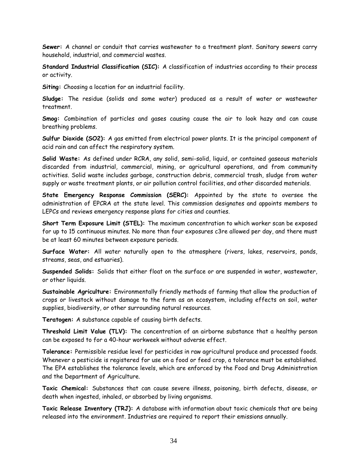**Sewer:** A channel or conduit that carries wastewater to a treatment plant. Sanitary sewers carry household, industrial, and commercial wastes.

**Standard Industrial Classification (SIC):** A classification of industries according to their process or activity.

**Siting:** Choosing a location for an industrial facility.

**Sludge:** The residue (solids and some water) produced as a result of water or wastewater treatment.

**Smog:** Combination of particles and gases causing cause the air to look hazy and can cause breathing problems.

**Sulfur Dioxide (SO2):** A gas emitted from electrical power plants. It is the principal component of acid rain and can affect the respiratory system.

**Solid Waste:** As defined under RCRA, any solid, semi-solid, liquid, or contained gaseous materials discarded from industrial, commercial, mining, or agricultural operations, and from community activities. Solid waste includes garbage, construction debris, commercial trash, sludge from water supply or waste treatment plants, or air pollution control facilities, and other discarded materials.

**State Emergency Response Commission (SERC):** Appointed by the state to oversee the administration of EPCRA at the state level. This commission designates and appoints members to LEPCs and reviews emergency response plans for cities and counties.

**Short Term Exposure Limit (STEL):** The maximum concentration to which worker scan be exposed for up to 15 continuous minutes. No more than four exposures c3re allowed per day, and there must be at least 60 minutes between exposure periods.

**Surface Water:** All water naturally open to the atmosphere (rivers, lakes, reservoirs, ponds, streams, seas, and estuaries).

**Suspended Solids:** Solids that either float on the surface or are suspended in water, wastewater, or other liquids.

**Sustainable Agriculture:** Environmentally friendly methods of farming that allow the production of crops or livestock without damage to the farm as an ecosystem, including effects on soil, water supplies, biodiversity, or other surrounding natural resources.

**Teratogen:** A substance capable of causing birth defects.

**Threshold Limit Value (TLV):** The concentration of an airborne substance that a healthy person can be exposed to for a 40-hour workweek without adverse effect.

**Tolerance:** Permissible residue level for pesticides in raw agricultural produce and processed foods. Whenever a pesticide is registered for use on a food or feed crop, a tolerance must be established. The EPA establishes the tolerance levels, which are enforced by the Food and Drug Administration and the Department of Agriculture.

**Toxic Chemical:** Substances that can cause severe illness, poisoning, birth defects, disease, or death when ingested, inhaled, or absorbed by living organisms.

**Toxic Release Inventory (TRJ):** A database with information about toxic chemicals that are being released into the environment. Industries are required to report their emissions annually.